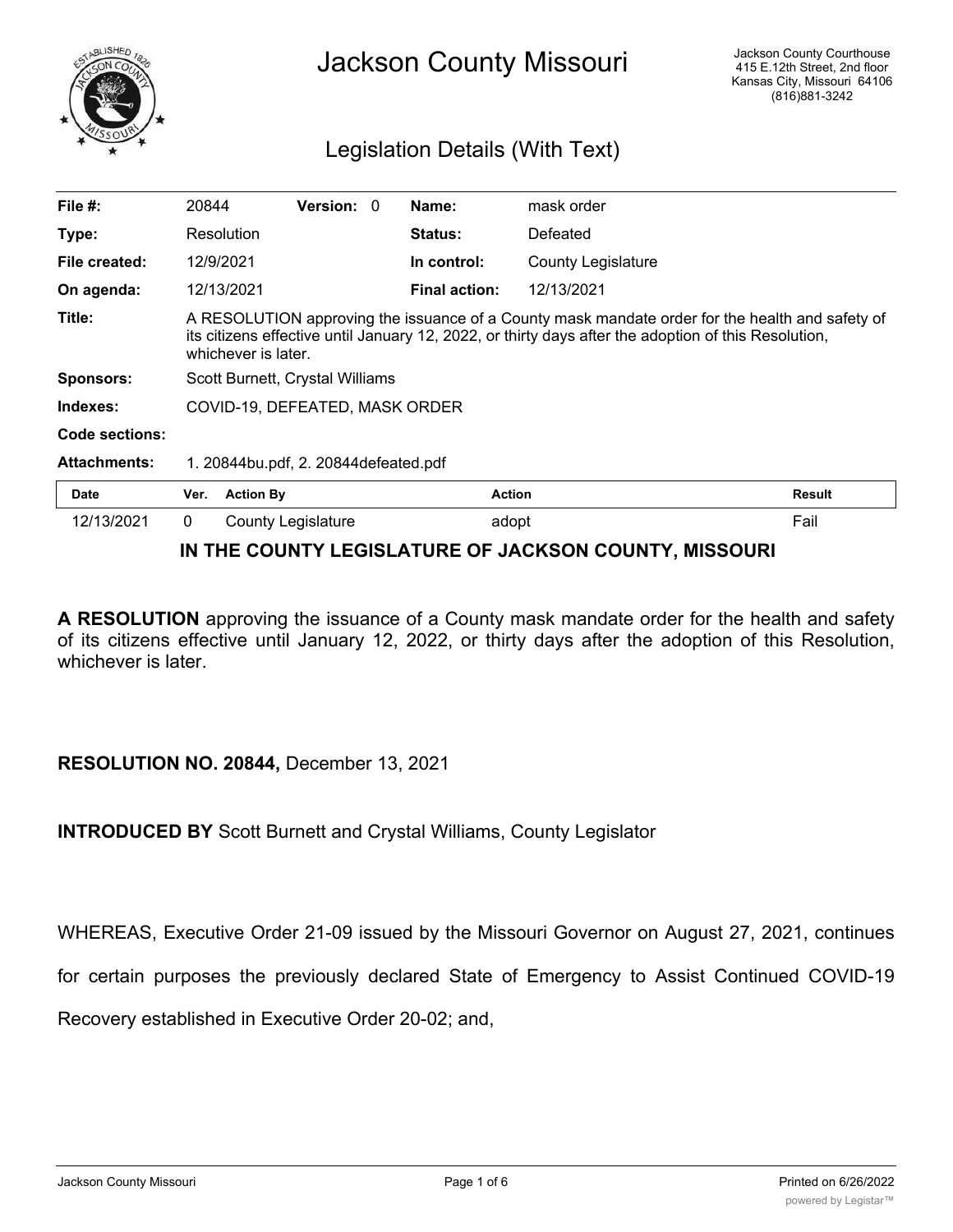

## Legislation Details (With Text)

| File $#$ :          | 20844                                                                                                                                                                                                                          |                           | <b>Version: 0</b> |  | Name:                | mask order                |               |
|---------------------|--------------------------------------------------------------------------------------------------------------------------------------------------------------------------------------------------------------------------------|---------------------------|-------------------|--|----------------------|---------------------------|---------------|
| Type:               |                                                                                                                                                                                                                                | Resolution                |                   |  | <b>Status:</b>       | Defeated                  |               |
| File created:       |                                                                                                                                                                                                                                | 12/9/2021                 |                   |  | In control:          | <b>County Legislature</b> |               |
| On agenda:          |                                                                                                                                                                                                                                | 12/13/2021                |                   |  | <b>Final action:</b> | 12/13/2021                |               |
| Title:              | A RESOLUTION approving the issuance of a County mask mandate order for the health and safety of<br>its citizens effective until January 12, 2022, or thirty days after the adoption of this Resolution,<br>whichever is later. |                           |                   |  |                      |                           |               |
| <b>Sponsors:</b>    | Scott Burnett, Crystal Williams                                                                                                                                                                                                |                           |                   |  |                      |                           |               |
| Indexes:            | COVID-19, DEFEATED, MASK ORDER                                                                                                                                                                                                 |                           |                   |  |                      |                           |               |
| Code sections:      |                                                                                                                                                                                                                                |                           |                   |  |                      |                           |               |
| <b>Attachments:</b> | 1. 20844bu.pdf, 2. 20844defeated.pdf                                                                                                                                                                                           |                           |                   |  |                      |                           |               |
| <b>Date</b>         | Ver.                                                                                                                                                                                                                           | <b>Action By</b>          |                   |  | <b>Action</b>        |                           | <b>Result</b> |
| 12/13/2021          | $\mathbf{0}$                                                                                                                                                                                                                   | <b>County Legislature</b> |                   |  | adopt                |                           | Fail          |

## **IN THE COUNTY LEGISLATURE OF JACKSON COUNTY, MISSOURI**

**A RESOLUTION** approving the issuance of a County mask mandate order for the health and safety of its citizens effective until January 12, 2022, or thirty days after the adoption of this Resolution, whichever is later.

## **RESOLUTION NO. 20844,** December 13, 2021

**INTRODUCED BY** Scott Burnett and Crystal Williams, County Legislator

WHEREAS, Executive Order 21-09 issued by the Missouri Governor on August 27, 2021, continues

for certain purposes the previously declared State of Emergency to Assist Continued COVID-19

Recovery established in Executive Order 20-02; and,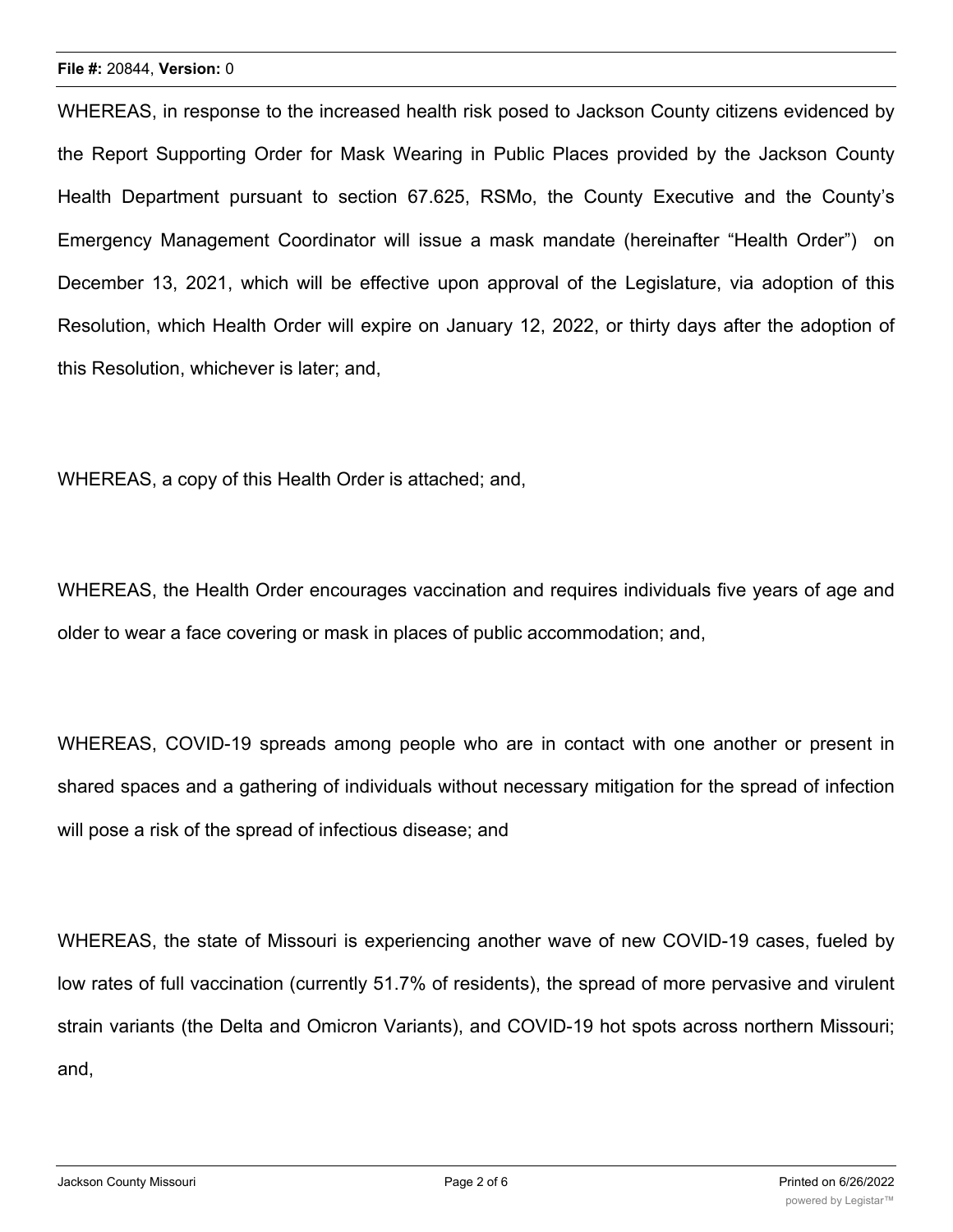WHEREAS, in response to the increased health risk posed to Jackson County citizens evidenced by the Report Supporting Order for Mask Wearing in Public Places provided by the Jackson County Health Department pursuant to section 67.625, RSMo, the County Executive and the County's Emergency Management Coordinator will issue a mask mandate (hereinafter "Health Order") on December 13, 2021, which will be effective upon approval of the Legislature, via adoption of this Resolution, which Health Order will expire on January 12, 2022, or thirty days after the adoption of this Resolution, whichever is later; and,

WHEREAS, a copy of this Health Order is attached; and,

WHEREAS, the Health Order encourages vaccination and requires individuals five years of age and older to wear a face covering or mask in places of public accommodation; and,

WHEREAS, COVID-19 spreads among people who are in contact with one another or present in shared spaces and a gathering of individuals without necessary mitigation for the spread of infection will pose a risk of the spread of infectious disease; and

WHEREAS, the state of Missouri is experiencing another wave of new COVID-19 cases, fueled by low rates of full vaccination (currently 51.7% of residents), the spread of more pervasive and virulent strain variants (the Delta and Omicron Variants), and COVID-19 hot spots across northern Missouri; and,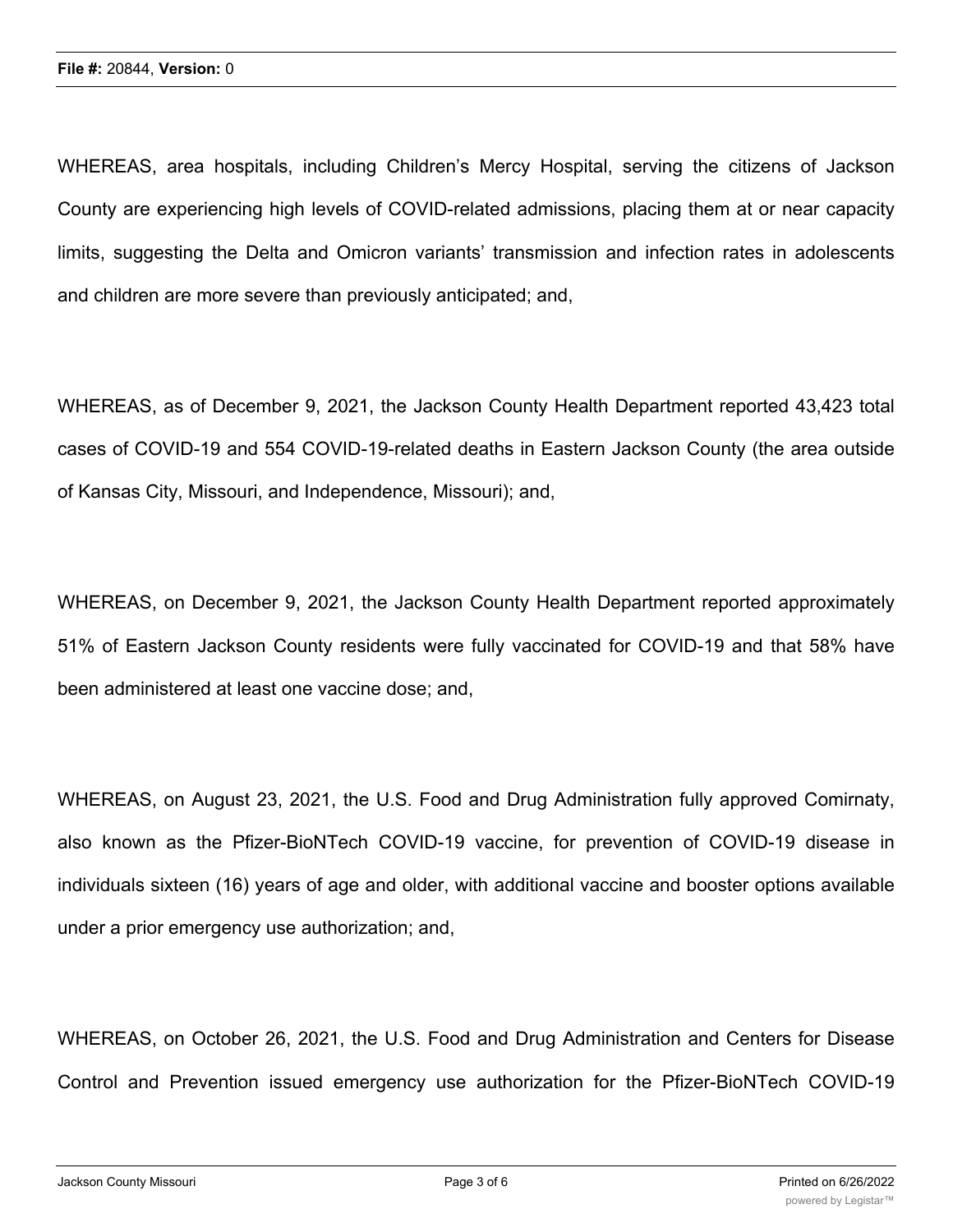WHEREAS, area hospitals, including Children's Mercy Hospital, serving the citizens of Jackson County are experiencing high levels of COVID-related admissions, placing them at or near capacity limits, suggesting the Delta and Omicron variants' transmission and infection rates in adolescents and children are more severe than previously anticipated; and,

WHEREAS, as of December 9, 2021, the Jackson County Health Department reported 43,423 total cases of COVID-19 and 554 COVID-19-related deaths in Eastern Jackson County (the area outside of Kansas City, Missouri, and Independence, Missouri); and,

WHEREAS, on December 9, 2021, the Jackson County Health Department reported approximately 51% of Eastern Jackson County residents were fully vaccinated for COVID-19 and that 58% have been administered at least one vaccine dose; and,

WHEREAS, on August 23, 2021, the U.S. Food and Drug Administration fully approved Comirnaty, also known as the Pfizer-BioNTech COVID-19 vaccine, for prevention of COVID-19 disease in individuals sixteen (16) years of age and older, with additional vaccine and booster options available under a prior emergency use authorization; and,

WHEREAS, on October 26, 2021, the U.S. Food and Drug Administration and Centers for Disease Control and Prevention issued emergency use authorization for the Pfizer-BioNTech COVID-19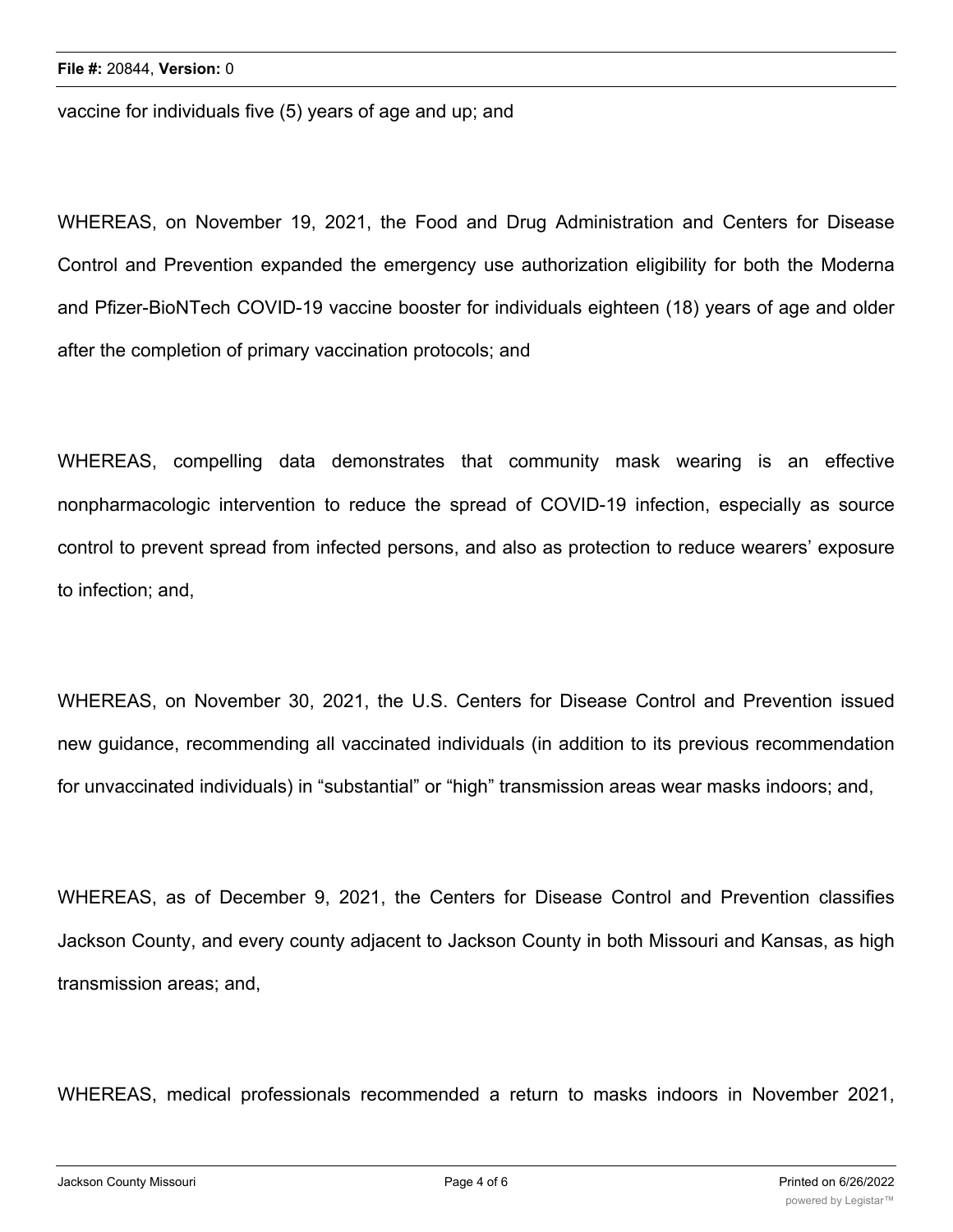vaccine for individuals five (5) years of age and up; and

WHEREAS, on November 19, 2021, the Food and Drug Administration and Centers for Disease Control and Prevention expanded the emergency use authorization eligibility for both the Moderna and Pfizer-BioNTech COVID-19 vaccine booster for individuals eighteen (18) years of age and older after the completion of primary vaccination protocols; and

WHEREAS, compelling data demonstrates that community mask wearing is an effective nonpharmacologic intervention to reduce the spread of COVID-19 infection, especially as source control to prevent spread from infected persons, and also as protection to reduce wearers' exposure to infection; and,

WHEREAS, on November 30, 2021, the U.S. Centers for Disease Control and Prevention issued new guidance, recommending all vaccinated individuals (in addition to its previous recommendation for unvaccinated individuals) in "substantial" or "high" transmission areas wear masks indoors; and,

WHEREAS, as of December 9, 2021, the Centers for Disease Control and Prevention classifies Jackson County, and every county adjacent to Jackson County in both Missouri and Kansas, as high transmission areas; and,

WHEREAS, medical professionals recommended a return to masks indoors in November 2021,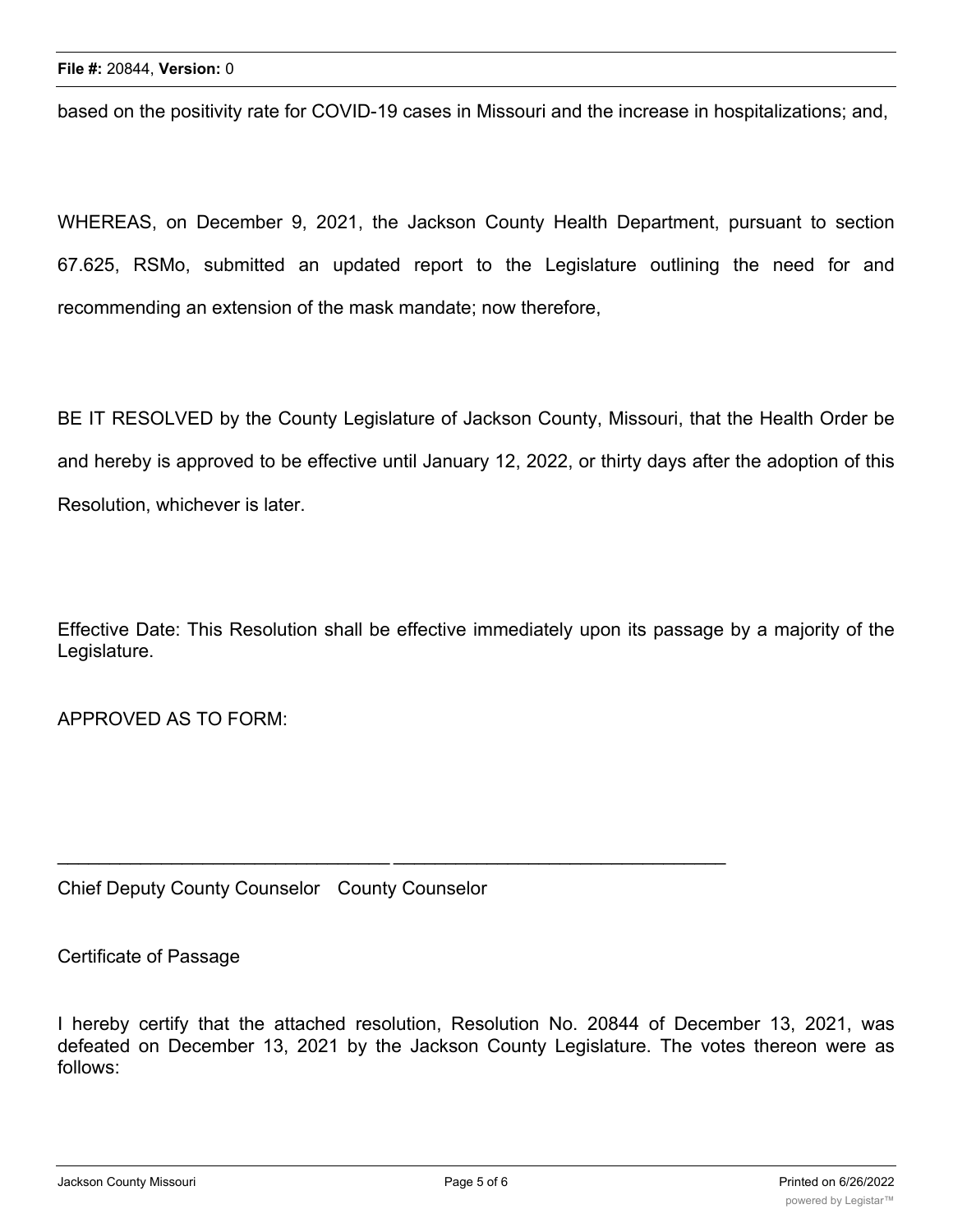based on the positivity rate for COVID-19 cases in Missouri and the increase in hospitalizations; and,

WHEREAS, on December 9, 2021, the Jackson County Health Department, pursuant to section 67.625, RSMo, submitted an updated report to the Legislature outlining the need for and recommending an extension of the mask mandate; now therefore,

BE IT RESOLVED by the County Legislature of Jackson County, Missouri, that the Health Order be and hereby is approved to be effective until January 12, 2022, or thirty days after the adoption of this Resolution, whichever is later.

Effective Date: This Resolution shall be effective immediately upon its passage by a majority of the Legislature.

APPROVED AS TO FORM:

Chief Deputy County Counselor County Counselor

\_\_\_\_\_\_\_\_\_\_\_\_\_\_\_\_\_\_\_\_\_\_\_\_\_\_\_\_\_\_\_\_ \_\_\_\_\_\_\_\_\_\_\_\_\_\_\_\_\_\_\_\_\_\_\_\_\_\_\_\_\_\_\_\_

Certificate of Passage

I hereby certify that the attached resolution, Resolution No. 20844 of December 13, 2021, was defeated on December 13, 2021 by the Jackson County Legislature. The votes thereon were as follows: